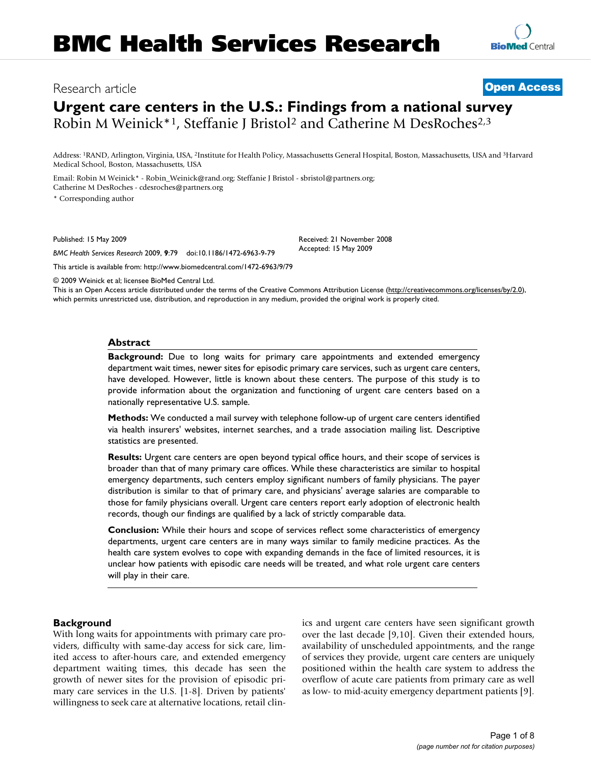# **Urgent care centers in the U.S.: Findings from a national survey** Robin M Weinick\*1, Steffanie J Bristol2 and Catherine M DesRoches2,3

Address: 1RAND, Arlington, Virginia, USA, 2Institute for Health Policy, Massachusetts General Hospital, Boston, Massachusetts, USA and 3Harvard Medical School, Boston, Massachusetts, USA

Email: Robin M Weinick\* - Robin\_Weinick@rand.org; Steffanie J Bristol - sbristol@partners.org; Catherine M DesRoches - cdesroches@partners.org

\* Corresponding author

Published: 15 May 2009

*BMC Health Services Research* 2009, **9**:79 doi:10.1186/1472-6963-9-79

[This article is available from: http://www.biomedcentral.com/1472-6963/9/79](http://www.biomedcentral.com/1472-6963/9/79)

© 2009 Weinick et al; licensee BioMed Central Ltd.

This is an Open Access article distributed under the terms of the Creative Commons Attribution License [\(http://creativecommons.org/licenses/by/2.0\)](http://creativecommons.org/licenses/by/2.0), which permits unrestricted use, distribution, and reproduction in any medium, provided the original work is properly cited.

Received: 21 November 2008 Accepted: 15 May 2009

## **Abstract**

**Background:** Due to long waits for primary care appointments and extended emergency department wait times, newer sites for episodic primary care services, such as urgent care centers, have developed. However, little is known about these centers. The purpose of this study is to provide information about the organization and functioning of urgent care centers based on a nationally representative U.S. sample.

**Methods:** We conducted a mail survey with telephone follow-up of urgent care centers identified via health insurers' websites, internet searches, and a trade association mailing list. Descriptive statistics are presented.

**Results:** Urgent care centers are open beyond typical office hours, and their scope of services is broader than that of many primary care offices. While these characteristics are similar to hospital emergency departments, such centers employ significant numbers of family physicians. The payer distribution is similar to that of primary care, and physicians' average salaries are comparable to those for family physicians overall. Urgent care centers report early adoption of electronic health records, though our findings are qualified by a lack of strictly comparable data.

**Conclusion:** While their hours and scope of services reflect some characteristics of emergency departments, urgent care centers are in many ways similar to family medicine practices. As the health care system evolves to cope with expanding demands in the face of limited resources, it is unclear how patients with episodic care needs will be treated, and what role urgent care centers will play in their care.

# **Background**

With long waits for appointments with primary care providers, difficulty with same-day access for sick care, limited access to after-hours care, and extended emergency department waiting times, this decade has seen the growth of newer sites for the provision of episodic primary care services in the U.S. [1-8]. Driven by patients' willingness to seek care at alternative locations, retail clinics and urgent care centers have seen significant growth over the last decade [9,10]. Given their extended hours, availability of unscheduled appointments, and the range of services they provide, urgent care centers are uniquely positioned within the health care system to address the overflow of acute care patients from primary care as well as low- to mid-acuity emergency department patients [9].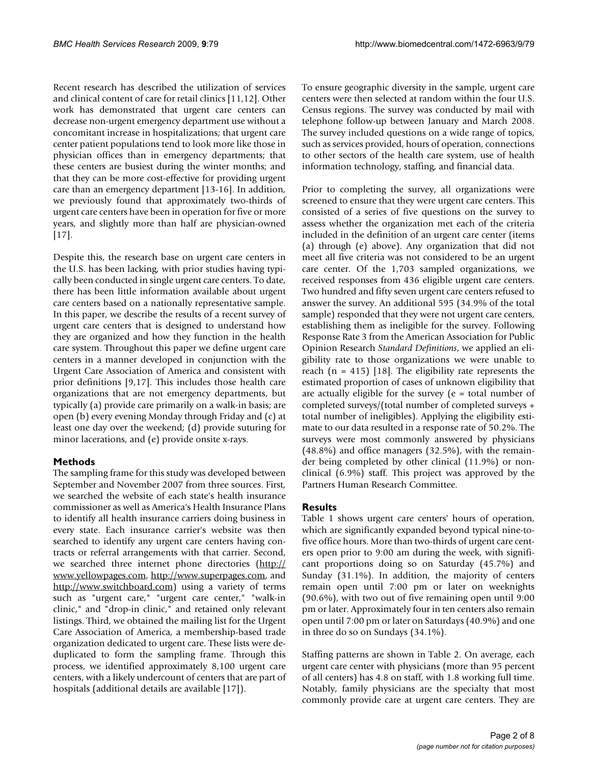Recent research has described the utilization of services and clinical content of care for retail clinics [11,12]. Other work has demonstrated that urgent care centers can decrease non-urgent emergency department use without a concomitant increase in hospitalizations; that urgent care center patient populations tend to look more like those in physician offices than in emergency departments; that these centers are busiest during the winter months; and that they can be more cost-effective for providing urgent care than an emergency department [13-16]. In addition, we previously found that approximately two-thirds of urgent care centers have been in operation for five or more years, and slightly more than half are physician-owned [17].

Despite this, the research base on urgent care centers in the U.S. has been lacking, with prior studies having typically been conducted in single urgent care centers. To date, there has been little information available about urgent care centers based on a nationally representative sample. In this paper, we describe the results of a recent survey of urgent care centers that is designed to understand how they are organized and how they function in the health care system. Throughout this paper we define urgent care centers in a manner developed in conjunction with the Urgent Care Association of America and consistent with prior definitions [9,17]. This includes those health care organizations that are not emergency departments, but typically (a) provide care primarily on a walk-in basis; are open (b) every evening Monday through Friday and (c) at least one day over the weekend; (d) provide suturing for minor lacerations, and (e) provide onsite x-rays.

# **Methods**

The sampling frame for this study was developed between September and November 2007 from three sources. First, we searched the website of each state's health insurance commissioner as well as America's Health Insurance Plans to identify all health insurance carriers doing business in every state. Each insurance carrier's website was then searched to identify any urgent care centers having contracts or referral arrangements with that carrier. Second, we searched three internet phone directories ([http://](http://www.yellowpages.com) [www.yellowpages.com](http://www.yellowpages.com), [http://www.superpages.com,](http://www.superpages.com) and <http://www.switchboard.com>) using a variety of terms such as "urgent care," "urgent care center," "walk-in clinic," and "drop-in clinic," and retained only relevant listings. Third, we obtained the mailing list for the Urgent Care Association of America, a membership-based trade organization dedicated to urgent care. These lists were deduplicated to form the sampling frame. Through this process, we identified approximately 8,100 urgent care centers, with a likely undercount of centers that are part of hospitals (additional details are available [17]).

To ensure geographic diversity in the sample, urgent care centers were then selected at random within the four U.S. Census regions. The survey was conducted by mail with telephone follow-up between January and March 2008. The survey included questions on a wide range of topics, such as services provided, hours of operation, connections to other sectors of the health care system, use of health information technology, staffing, and financial data.

Prior to completing the survey, all organizations were screened to ensure that they were urgent care centers. This consisted of a series of five questions on the survey to assess whether the organization met each of the criteria included in the definition of an urgent care center (items (a) through (e) above). Any organization that did not meet all five criteria was not considered to be an urgent care center. Of the 1,703 sampled organizations, we received responses from 436 eligible urgent care centers. Two hundred and fifty seven urgent care centers refused to answer the survey. An additional 595 (34.9% of the total sample) responded that they were not urgent care centers, establishing them as ineligible for the survey. Following Response Rate 3 from the American Association for Public Opinion Research *Standard Definitions*, we applied an eligibility rate to those organizations we were unable to reach ( $n = 415$ ) [18]. The eligibility rate represents the estimated proportion of cases of unknown eligibility that are actually eligible for the survey ( $e =$  total number of completed surveys/(total number of completed surveys + total number of ineligibles). Applying the eligibility estimate to our data resulted in a response rate of 50.2%. The surveys were most commonly answered by physicians (48.8%) and office managers (32.5%), with the remainder being completed by other clinical (11.9%) or nonclinical (6.9%) staff. This project was approved by the Partners Human Research Committee.

# **Results**

Table 1 shows urgent care centers' hours of operation, which are significantly expanded beyond typical nine-tofive office hours. More than two-thirds of urgent care centers open prior to 9:00 am during the week, with significant proportions doing so on Saturday (45.7%) and Sunday (31.1%). In addition, the majority of centers remain open until 7:00 pm or later on weeknights (90.6%), with two out of five remaining open until 9:00 pm or later. Approximately four in ten centers also remain open until 7:00 pm or later on Saturdays (40.9%) and one in three do so on Sundays (34.1%).

Staffing patterns are shown in Table 2. On average, each urgent care center with physicians (more than 95 percent of all centers) has 4.8 on staff, with 1.8 working full time. Notably, family physicians are the specialty that most commonly provide care at urgent care centers. They are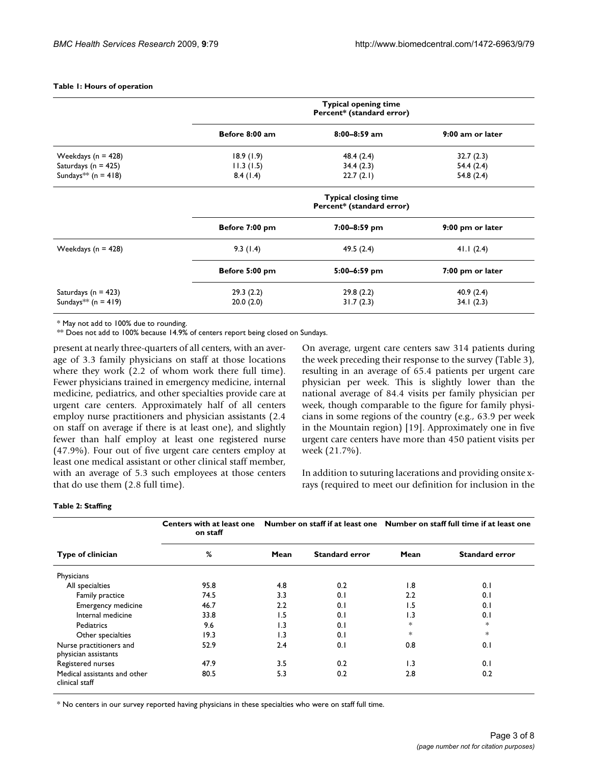#### **Table 1: Hours of operation**

|                         | <b>Typical opening time</b><br>Percent* (standard error) |                                                          |                  |
|-------------------------|----------------------------------------------------------|----------------------------------------------------------|------------------|
|                         | Before 8:00 am                                           | $8:00 - 8:59$ am                                         | 9:00 am or later |
| Weekdays ( $n = 428$ )  | 18.9(1.9)                                                | 48.4 (2.4)                                               | 32.7(2.3)        |
| Saturdays ( $n = 425$ ) | 11.3(1.5)                                                | 34.4(2.3)                                                | 54.4(2.4)        |
| Sundays** ( $n = 418$ ) | 8.4(1.4)                                                 | 22.7(2.1)                                                | 54.8(2.4)        |
|                         |                                                          | <b>Typical closing time</b><br>Percent* (standard error) |                  |
|                         | Before 7:00 pm                                           | 7:00-8:59 pm                                             | 9:00 pm or later |
| Weekdays ( $n = 428$ )  | 9.3(1.4)                                                 | 49.5(2.4)                                                | 41.1(2.4)        |
|                         | Before 5:00 pm                                           | $5:00-6:59$ pm                                           | 7:00 pm or later |
| Saturdays ( $n = 423$ ) | 29.3(2.2)                                                | 29.8(2.2)                                                | 40.9(2.4)        |
| Sundays** $(n = 419)$   | 20.0(2.0)                                                | 31.7(2.3)                                                | 34.1(2.3)        |

\* May not add to 100% due to rounding.

\*\* Does not add to 100% because 14.9% of centers report being closed on Sundays.

present at nearly three-quarters of all centers, with an average of 3.3 family physicians on staff at those locations where they work (2.2 of whom work there full time). Fewer physicians trained in emergency medicine, internal medicine, pediatrics, and other specialties provide care at urgent care centers. Approximately half of all centers employ nurse practitioners and physician assistants (2.4 on staff on average if there is at least one), and slightly fewer than half employ at least one registered nurse (47.9%). Four out of five urgent care centers employ at least one medical assistant or other clinical staff member, with an average of 5.3 such employees at those centers that do use them (2.8 full time).

On average, urgent care centers saw 314 patients during the week preceding their response to the survey (Table 3), resulting in an average of 65.4 patients per urgent care physician per week. This is slightly lower than the national average of 84.4 visits per family physician per week, though comparable to the figure for family physicians in some regions of the country (e.g., 63.9 per week in the Mountain region) [19]. Approximately one in five urgent care centers have more than 450 patient visits per week (21.7%).

In addition to suturing lacerations and providing onsite xrays (required to meet our definition for inclusion in the

#### **Table 2: Staffing**

|                                                 | on staff |      |                       | Centers with at least one Number on staff if at least one Number on staff full time if at least one |                       |
|-------------------------------------------------|----------|------|-----------------------|-----------------------------------------------------------------------------------------------------|-----------------------|
| Type of clinician                               | %        | Mean | <b>Standard error</b> | Mean                                                                                                | <b>Standard error</b> |
| Physicians                                      |          |      |                       |                                                                                                     |                       |
| All specialties                                 | 95.8     | 4.8  | 0.2                   | 1.8                                                                                                 | 0.1                   |
| Family practice                                 | 74.5     | 3.3  | 0.1                   | 2.2                                                                                                 | 0.1                   |
| Emergency medicine                              | 46.7     | 2.2  | 0.1                   | 1.5                                                                                                 | 0.1                   |
| Internal medicine                               | 33.8     | ۱.5  | 0.1                   | 1.3                                                                                                 | 0.1                   |
| Pediatrics                                      | 9.6      | 1.3  | 0.1                   | $\ast$                                                                                              | *                     |
| Other specialties                               | 19.3     | 1.3  | 0.1                   | $*$                                                                                                 | *                     |
| Nurse practitioners and<br>physician assistants | 52.9     | 2.4  | 0.1                   | 0.8                                                                                                 | 0.1                   |
| Registered nurses                               | 47.9     | 3.5  | 0.2                   | 1.3                                                                                                 | 0.1                   |
| Medical assistants and other<br>clinical staff  | 80.5     | 5.3  | 0.2                   | 2.8                                                                                                 | 0.2                   |

\* No centers in our survey reported having physicians in these specialties who were on staff full time.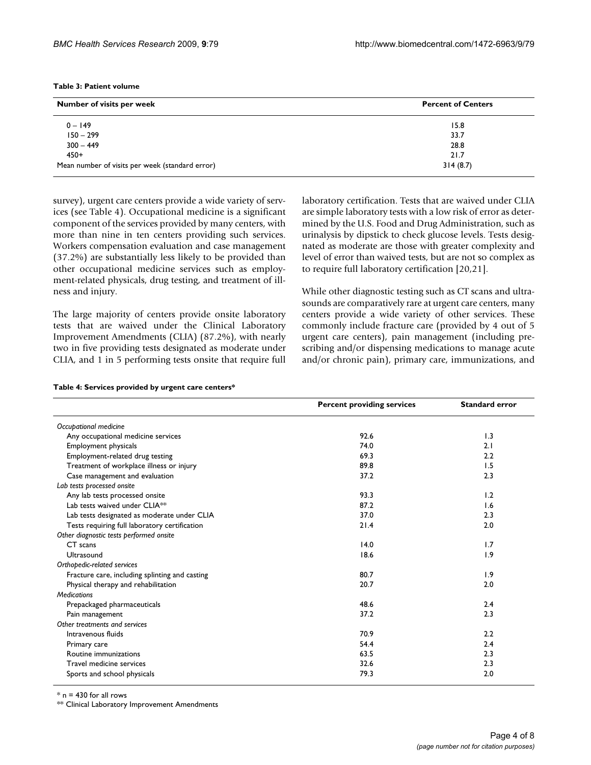#### **Table 3: Patient volume**

| Number of visits per week                       | <b>Percent of Centers</b> |
|-------------------------------------------------|---------------------------|
| $0 - 149$                                       | 15.8                      |
| $150 - 299$                                     | 33.7                      |
| $300 - 449$                                     | 28.8                      |
| $450+$                                          | 21.7                      |
| Mean number of visits per week (standard error) | 314(8.7)                  |

survey), urgent care centers provide a wide variety of services (see Table 4). Occupational medicine is a significant component of the services provided by many centers, with more than nine in ten centers providing such services. Workers compensation evaluation and case management (37.2%) are substantially less likely to be provided than other occupational medicine services such as employment-related physicals, drug testing, and treatment of illness and injury.

The large majority of centers provide onsite laboratory tests that are waived under the Clinical Laboratory Improvement Amendments (CLIA) (87.2%), with nearly two in five providing tests designated as moderate under CLIA, and 1 in 5 performing tests onsite that require full laboratory certification. Tests that are waived under CLIA are simple laboratory tests with a low risk of error as determined by the U.S. Food and Drug Administration, such as urinalysis by dipstick to check glucose levels. Tests designated as moderate are those with greater complexity and level of error than waived tests, but are not so complex as to require full laboratory certification [20,21].

While other diagnostic testing such as CT scans and ultrasounds are comparatively rare at urgent care centers, many centers provide a wide variety of other services. These commonly include fracture care (provided by 4 out of 5 urgent care centers), pain management (including prescribing and/or dispensing medications to manage acute and/or chronic pain), primary care, immunizations, and

## **Table 4: Services provided by urgent care centers\***

|                                                | <b>Percent providing services</b> | <b>Standard error</b> |
|------------------------------------------------|-----------------------------------|-----------------------|
| Occupational medicine                          |                                   |                       |
| Any occupational medicine services             | 92.6                              | 1.3                   |
| Employment physicals                           | 74.0                              | 2.1                   |
| Employment-related drug testing                | 69.3                              | $2.2\phantom{0}$      |
| Treatment of workplace illness or injury       | 89.8                              | 1.5                   |
| Case management and evaluation                 | 37.2                              | 2.3                   |
| Lab tests processed onsite                     |                                   |                       |
| Any lab tests processed onsite                 | 93.3                              | 1.2                   |
| Lab tests waived under CLIA <sup>**</sup>      | 87.2                              | 1.6                   |
| Lab tests designated as moderate under CLIA    | 37.0                              | 2.3                   |
| Tests requiring full laboratory certification  | 21.4                              | 2.0                   |
| Other diagnostic tests performed onsite        |                                   |                       |
| CT scans                                       | 14.0                              | 1.7                   |
| Ultrasound                                     | 18.6                              | 1.9                   |
| Orthopedic-related services                    |                                   |                       |
| Fracture care, including splinting and casting | 80.7                              | 1.9                   |
| Physical therapy and rehabilitation            | 20.7                              | 2.0                   |
| <b>Medications</b>                             |                                   |                       |
| Prepackaged pharmaceuticals                    | 48.6                              | 2.4                   |
| Pain management                                | 37.2                              | 2.3                   |
| Other treatments and services                  |                                   |                       |
| Intravenous fluids                             | 70.9                              | 2.2                   |
| Primary care                                   | 54.4                              | 2.4                   |
| Routine immunizations                          | 63.5                              | 2.3                   |
| Travel medicine services                       | 32.6                              | 2.3                   |
| Sports and school physicals                    | 79.3                              | 2.0                   |

 $*$  n = 430 for all rows

\*\* Clinical Laboratory Improvement Amendments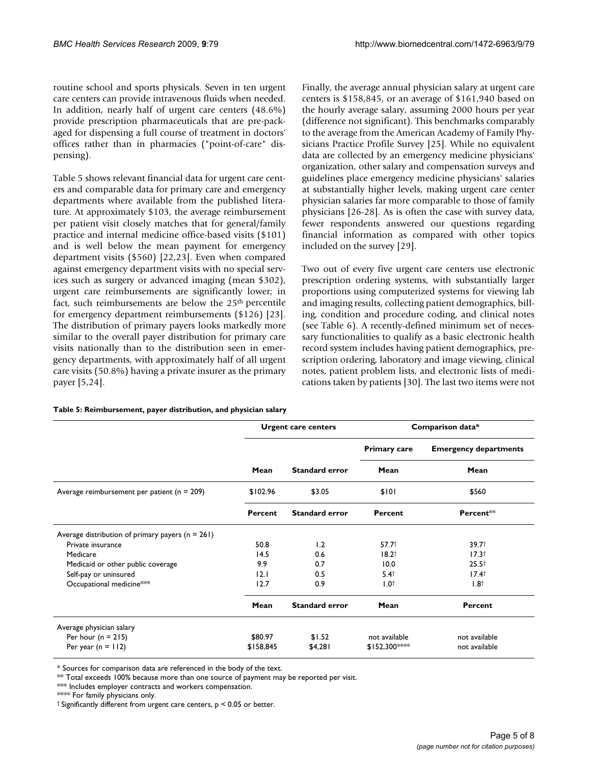routine school and sports physicals. Seven in ten urgent care centers can provide intravenous fluids when needed. In addition, nearly half of urgent care centers (48.6%) provide prescription pharmaceuticals that are pre-packaged for dispensing a full course of treatment in doctors' offices rather than in pharmacies ("point-of-care" dispensing).

Table 5 shows relevant financial data for urgent care centers and comparable data for primary care and emergency departments where available from the published literature. At approximately \$103, the average reimbursement per patient visit closely matches that for general/family practice and internal medicine office-based visits (\$101) and is well below the mean payment for emergency department visits (\$560) [22,23]. Even when compared against emergency department visits with no special services such as surgery or advanced imaging (mean \$302), urgent care reimbursements are significantly lower; in fact, such reimbursements are below the 25<sup>th</sup> percentile for emergency department reimbursements (\$126) [23]. The distribution of primary payers looks markedly more similar to the overall payer distribution for primary care visits nationally than to the distribution seen in emergency departments, with approximately half of all urgent care visits (50.8%) having a private insurer as the primary payer [5,24].

**Table 5: Reimbursement, payer distribution, and physician salary**

| Finally, the average annual physician salary at urgent care |
|-------------------------------------------------------------|
| centers is \$158,845, or an average of \$161,940 based on   |
| the hourly average salary, assuming 2000 hours per year     |
| (difference not significant). This benchmarks comparably    |
| to the average from the American Academy of Family Phy-     |
| sicians Practice Profile Survey [25]. While no equivalent   |
| data are collected by an emergency medicine physicians'     |
| organization, other salary and compensation surveys and     |
| guidelines place emergency medicine physicians' salaries    |
| at substantially higher levels, making urgent care center   |
| physician salaries far more comparable to those of family   |
| physicians [26-28]. As is often the case with survey data,  |
| fewer respondents answered our questions regarding          |
| financial information as compared with other topics         |
| included on the survey [29].                                |

Two out of every five urgent care centers use electronic prescription ordering systems, with substantially larger proportions using computerized systems for viewing lab and imaging results, collecting patient demographics, billing, condition and procedure coding, and clinical notes (see Table 6). A recently-defined minimum set of necessary functionalities to qualify as a basic electronic health record system includes having patient demographics, prescription ordering, laboratory and image viewing, clinical notes, patient problem lists, and electronic lists of medications taken by patients [30]. The last two items were not

|                                                      | <b>Urgent care centers</b> |                       | Comparison data*    |                              |
|------------------------------------------------------|----------------------------|-----------------------|---------------------|------------------------------|
|                                                      |                            |                       | <b>Primary care</b> | <b>Emergency departments</b> |
|                                                      | Mean                       | <b>Standard error</b> | Mean                | Mean                         |
| Average reimbursement per patient ( $n = 209$ )      | \$102.96                   | \$3.05                | \$101               | \$560                        |
|                                                      | Percent                    | <b>Standard error</b> | Percent             | $Percent**$                  |
| Average distribution of primary payers ( $n = 261$ ) |                            |                       |                     |                              |
| Private insurance                                    | 50.8                       | 1.2                   | 57.7†               | 39.7 <sup>†</sup>            |
| Medicare                                             | 14.5                       | 0.6                   | 18.2 <sup>†</sup>   | 17.3 <sup>†</sup>            |
| Medicaid or other public coverage                    | 9.9                        | 0.7                   | 10.0                | 25.5 <sup>†</sup>            |
| Self-pay or uninsured                                | 12.1                       | 0.5                   | 5.4 <sup>†</sup>    | $17.4^{\dagger}$             |
| Occupational medicine***                             | 12.7                       | 0.9                   | $1.0+$              | 1.8 <sup>†</sup>             |
|                                                      | Mean                       | <b>Standard error</b> | Mean                | Percent                      |
| Average physician salary                             |                            |                       |                     |                              |
| Per hour $(n = 215)$                                 | \$80.97                    | \$1.52                | not available       | not available                |
| Per year ( $n = 112$ )                               | \$158,845                  | \$4,281               | $$152,300***$       | not available                |

\* Sources for comparison data are referenced in the body of the text.

\*\* Total exceeds 100% because more than one source of payment may be reported per visit.

\*\*\* Includes employer contracts and workers compensation.

\*\*\*\* For family physicians only.

† Significantly different from urgent care centers, p < 0.05 or better.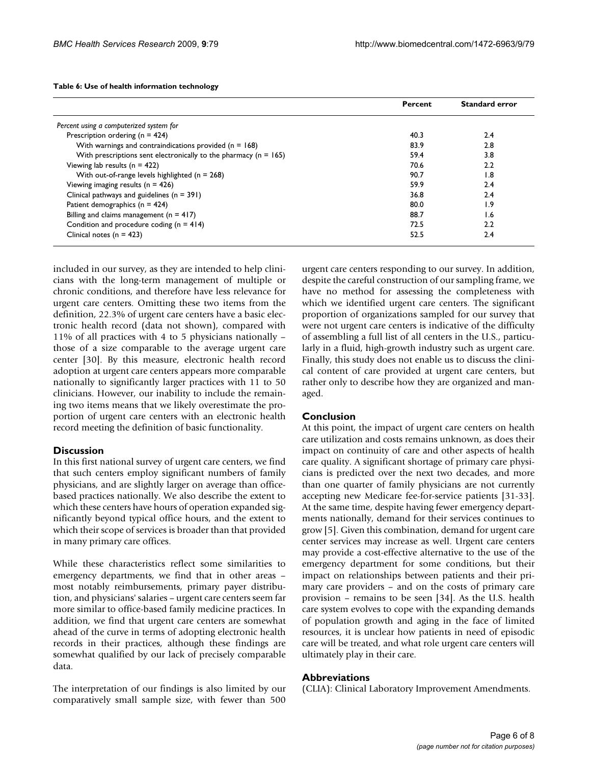|                                                                      | Percent | <b>Standard error</b> |
|----------------------------------------------------------------------|---------|-----------------------|
| Percent using a computerized system for                              |         |                       |
| Prescription ordering ( $n = 424$ )                                  | 40.3    | 2.4                   |
| With warnings and contraindications provided ( $n = 168$ )           | 83.9    | 2.8                   |
| With prescriptions sent electronically to the pharmacy ( $n = 165$ ) | 59.4    | 3.8                   |
| Viewing lab results ( $n = 422$ )                                    | 70.6    | 2.2                   |
| With out-of-range levels highlighted ( $n = 268$ )                   | 90.7    | 1.8                   |
| Viewing imaging results ( $n = 426$ )                                | 59.9    | 2.4                   |
| Clinical pathways and guidelines $(n = 391)$                         | 36.8    | 2.4                   |
| Patient demographics ( $n = 424$ )                                   | 80.0    | I.9                   |
| Billing and claims management ( $n = 417$ )                          | 88.7    | 1.6                   |
| Condition and procedure coding ( $n = 414$ )                         | 72.5    | 2.2                   |
| Clinical notes ( $n = 423$ )                                         | 52.5    | 2.4                   |

**Table 6: Use of health information technology**

included in our survey, as they are intended to help clinicians with the long-term management of multiple or chronic conditions, and therefore have less relevance for urgent care centers. Omitting these two items from the definition, 22.3% of urgent care centers have a basic electronic health record (data not shown), compared with 11% of all practices with 4 to 5 physicians nationally – those of a size comparable to the average urgent care center [30]. By this measure, electronic health record adoption at urgent care centers appears more comparable nationally to significantly larger practices with 11 to 50 clinicians. However, our inability to include the remaining two items means that we likely overestimate the proportion of urgent care centers with an electronic health record meeting the definition of basic functionality.

# **Discussion**

In this first national survey of urgent care centers, we find that such centers employ significant numbers of family physicians, and are slightly larger on average than officebased practices nationally. We also describe the extent to which these centers have hours of operation expanded significantly beyond typical office hours, and the extent to which their scope of services is broader than that provided in many primary care offices.

While these characteristics reflect some similarities to emergency departments, we find that in other areas – most notably reimbursements, primary payer distribution, and physicians' salaries – urgent care centers seem far more similar to office-based family medicine practices. In addition, we find that urgent care centers are somewhat ahead of the curve in terms of adopting electronic health records in their practices, although these findings are somewhat qualified by our lack of precisely comparable data.

The interpretation of our findings is also limited by our comparatively small sample size, with fewer than 500

urgent care centers responding to our survey. In addition, despite the careful construction of our sampling frame, we have no method for assessing the completeness with which we identified urgent care centers. The significant proportion of organizations sampled for our survey that were not urgent care centers is indicative of the difficulty of assembling a full list of all centers in the U.S., particularly in a fluid, high-growth industry such as urgent care. Finally, this study does not enable us to discuss the clinical content of care provided at urgent care centers, but rather only to describe how they are organized and managed.

#### **Conclusion**

At this point, the impact of urgent care centers on health care utilization and costs remains unknown, as does their impact on continuity of care and other aspects of health care quality. A significant shortage of primary care physicians is predicted over the next two decades, and more than one quarter of family physicians are not currently accepting new Medicare fee-for-service patients [31-33]. At the same time, despite having fewer emergency departments nationally, demand for their services continues to grow [5]. Given this combination, demand for urgent care center services may increase as well. Urgent care centers may provide a cost-effective alternative to the use of the emergency department for some conditions, but their impact on relationships between patients and their primary care providers – and on the costs of primary care provision – remains to be seen [34]. As the U.S. health care system evolves to cope with the expanding demands of population growth and aging in the face of limited resources, it is unclear how patients in need of episodic care will be treated, and what role urgent care centers will ultimately play in their care.

# **Abbreviations**

(CLIA): Clinical Laboratory Improvement Amendments.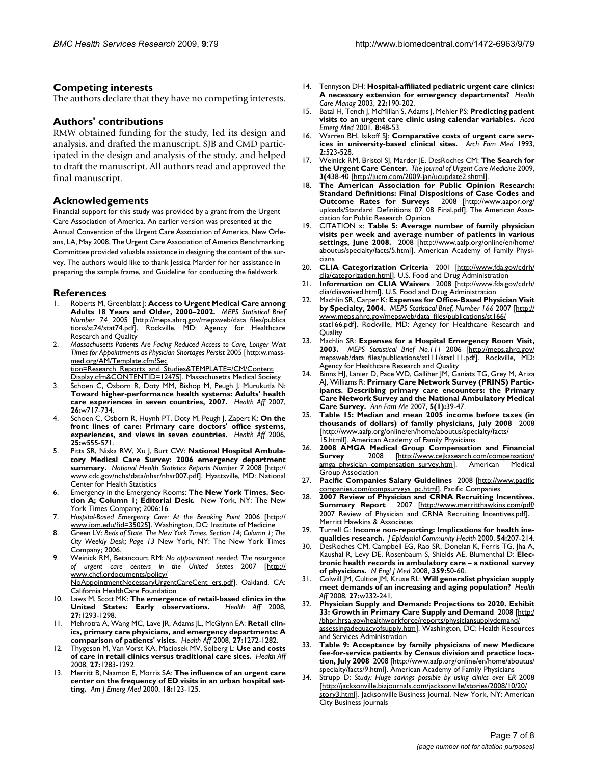#### **Competing interests**

The authors declare that they have no competing interests.

## **Authors' contributions**

RMW obtained funding for the study, led its design and analysis, and drafted the manuscript. SJB and CMD participated in the design and analysis of the study, and helped to draft the manuscript. All authors read and approved the final manuscript.

#### **Acknowledgements**

Financial support for this study was provided by a grant from the Urgent Care Association of America. An earlier version was presented at the Annual Convention of the Urgent Care Association of America, New Orleans, LA, May 2008. The Urgent Care Association of America Benchmarking Committee provided valuable assistance in designing the content of the survey. The authors would like to thank Jessica Marder for her assistance in preparing the sample frame, and Guideline for conducting the fieldwork.

#### **References**

- 1. Roberts M, Greenblatt J: **Access to Urgent Medical Care among Adults 18 Years and Older, 2000–2002.** *MEPS Statistical Brief Number 74* 2005 [\[http://meps.ahrq.gov/mepsweb/data\\_files/publica](http://meps.ahrq.gov/mepsweb/data_files/publications/st74/stat74.pdf) Rockville, MD: Agency for Healthcare Research and Quality
- 2. *Massachusetts Patients Are Facing Reduced Access to Care, Longer Wait Times for Appointments as Physician Shortages Persist* 2005 [\[http:w.mass](http://www.massmed.org/AM/Template.cfm?Section=Research_Reports_and_Studies&TEMPLATE=/CM/ContentDisplay.cfm&CONTENTID=12475)med.org/AM/Template.cfm?Sec [tion=Research\\_Reports\\_and\\_Studies&TEMPLATE=/CM/Content](http://www.massmed.org/AM/Template.cfm?Section=Research_Reports_and_Studies&TEMPLATE=/CM/ContentDisplay.cfm&CONTENTID=12475) [Display.cfm&CONTENTID=12475](http://www.massmed.org/AM/Template.cfm?Section=Research_Reports_and_Studies&TEMPLATE=/CM/ContentDisplay.cfm&CONTENTID=12475)]. Massachusetts Medical Society
- 3. Schoen C, Osborn R, Doty MM, Bishop M, Peugh J, Murukutla N: **Toward higher-performance health systems: Adults' health care experiences in seven countries, 2007.** *Health Aff* 2007, **26:**w717-734.
- 4. Schoen C, Osborn R, Huynh PT, Doty M, Peugh J, Zapert K: **On the front lines of care: Primary care doctors' office systems, experiences, and views in seven countries.** *Health Aff* 2006, **25:**w555-571.
- 5. Pitts SR, Niska RW, Xu J, Burt CW: **National Hospital Ambulatory Medical Care Survey: 2006 emergency department summary.** *National Health Statistics Reports Number 7* 2008 [[http://](http://www.cdc.gov/nchs/data/nhsr/nhsr007.pdf) [www.cdc.gov/nchs/data/nhsr/nhsr007.pdf\]](http://www.cdc.gov/nchs/data/nhsr/nhsr007.pdf). Hyattsville, MD: National Center for Health Statistics
- 6. Emergency in the Emergency Rooms: **The New York Times. Section A; Column 1; Editorial Desk.** New York, NY: The New York Times Company; 2006:16.
- 7. *Hospital-Based Emergency Care: At the Breaking Point* 2006 [[http://](http://www.iom.edu/?id=35025) [www.iom.edu/?id=35025](http://www.iom.edu/?id=35025)]. Washington, DC: Institute of Medicine
- 8. Green LV: *Beds of State. The New York Times. Section 14; Column 1; The City Weekly Desk; Page 13* New York, NY: The New York Times Company; 2006.
- 9. Weinick RM, Betancourt RM: *No appointment needed: The resurgence of urgent care centers in the United States* 2007 [[http://](http://www.chcf.org/documents/policy/NoAppointmentNecessaryUrgentCareCenters.pdf) [www.chcf.ordocuments/policy/](http://www.chcf.org/documents/policy/NoAppointmentNecessaryUrgentCareCenters.pdf) [NoAppointmentNecessaryUrgentCareCent ers.pdf](http://www.chcf.org/documents/policy/NoAppointmentNecessaryUrgentCareCenters.pdf)]. Oakland, CA: California HealthCare Foundation
- 10. Laws M, Scott MK: **The emergence of retail-based clinics in the United States: Early observations. 27:**1293-1298.
- 11. Mehrotra A, Wang MC, Lave JR, Adams JL, McGlynn EA: **Retail clinics, primary care physicians, and emergency departments: A comparison of patients' visits.** *Health Aff* 2008, **27:**1272-1282.
- 12. Thygeson M, Van Vorst KA, Maciosek MV, Solberg L: **Use and costs of care in retail clinics versus traditional care sites.** *Health Aff* 2008, **27:**1283-1292.
- 13. Merritt B, Naamon E, Morris SA: **[The influence of an urgent care](http://www.ncbi.nlm.nih.gov/entrez/query.fcgi?cmd=Retrieve&db=PubMed&dopt=Abstract&list_uids=10750912) [center on the frequency of ED visits in an urban hospital set](http://www.ncbi.nlm.nih.gov/entrez/query.fcgi?cmd=Retrieve&db=PubMed&dopt=Abstract&list_uids=10750912)[ting.](http://www.ncbi.nlm.nih.gov/entrez/query.fcgi?cmd=Retrieve&db=PubMed&dopt=Abstract&list_uids=10750912)** *Am J Emerg Med* 2000, **18:**123-125.
- 14. Tennyson DH: **Hospital-affiliated pediatric urgent care clinics: A necessary extension for emergency departments?** *Health Care Manag* 2003, **22:**190-202.
- 15. Batal H, Tench J, McMillan S, Adams J, Mehler PS: **[Predicting patient](http://www.ncbi.nlm.nih.gov/entrez/query.fcgi?cmd=Retrieve&db=PubMed&dopt=Abstract&list_uids=11136148) [visits to an urgent care clinic using calendar variables.](http://www.ncbi.nlm.nih.gov/entrez/query.fcgi?cmd=Retrieve&db=PubMed&dopt=Abstract&list_uids=11136148)** *Acad Emerg Med* 2001, **8:**48-53.
- 16. Warren BH, Isikoff SJ: [Comparative costs of urgent care serv](http://www.ncbi.nlm.nih.gov/entrez/query.fcgi?cmd=Retrieve&db=PubMed&dopt=Abstract&list_uids=8118568)**[ices in university-based clinical sites.](http://www.ncbi.nlm.nih.gov/entrez/query.fcgi?cmd=Retrieve&db=PubMed&dopt=Abstract&list_uids=8118568)** *Arch Fam Med* 1993, **2:**523-528.
- 17. Weinick RM, Bristol SJ, Marder JE, DesRoches CM: **The Search for the Urgent Care Center.** *The Journal of Urgent Care Medicine* 2009, **3(4**38-40 [\[http://jucm.com/2009-jan/ucupdate2.shtml](http://jucm.com/2009-jan/ucupdate2.shtml)].
- 18. **The American Association for Public Opinion Research: Standard Definitions: Final Dispositions of Case Codes and Outcome Rates for Surveys** 2008 [\[http://www.aapor.org/](http://www.aapor.org/uploads/Standard_Definitions_07_08_Final.pdf) [uploads/Standard\\_Definitions\\_07\\_08\\_Final.pdf](http://www.aapor.org/uploads/Standard_Definitions_07_08_Final.pdf)]. The American Association for Public Research Opinion
- 19. CITATION x: **Table 5: Average number of family physician visits per week and average number of patients in various settings, June 2008.** 2008 [[http://www.aafp.org/online/en/home/](http://www.aafp.org/online/en/home/aboutus/specialty/facts/5.html) [aboutus/specialty/facts/5.html\]](http://www.aafp.org/online/en/home/aboutus/specialty/facts/5.html). American Academy of Family Physicians
- 20. **CLIA Categorization Criteria** 2001 [[http://www.fda.gov/cdrh/](http://www.fda.gov/cdrh/clia/categorization.html) [clia/categorization.html\]](http://www.fda.gov/cdrh/clia/categorization.html). U.S. Food and Drug Administration
- 21. **Information on CLIA Waivers** 2008 [[http://www.fda.gov/cdrh/](http://www.fda.gov/cdrh/clia/cliawaived.html) [clia/cliawaived.html\]](http://www.fda.gov/cdrh/clia/cliawaived.html). U.S. Food and Drug Administration
- Machlin SR, Carper K: Expenses for Office-Based Physician Visit **by Specialty, 2004.** *MEPS Statistical Brief, Number 166* 2007 [\[http://](http://www.meps.ahrq.gov/mepsweb/data_files/publications/st166/stat166.pdf) [www.meps.ahrq.gov/mepsweb/data\\_files/publications/st166/](http://www.meps.ahrq.gov/mepsweb/data_files/publications/st166/stat166.pdf) [stat166.pdf\]](http://www.meps.ahrq.gov/mepsweb/data_files/publications/st166/stat166.pdf). Rockville, MD: Agency for Healthcare Research and **Quality**
- 23. Machlin SR: **Expenses for a Hospital Emergency Room Visit, 2003.** *MEPS Statistical Brief No.111* 2006 [[http://meps.ahrq.gov/](http://meps.ahrq.gov/mepsweb/data_files/publications/st111/stat111.pdf) [mepsweb/data\\_files/publications/st111/stat111.pdf](http://meps.ahrq.gov/mepsweb/data_files/publications/st111/stat111.pdf)]. Rockville, MD: Agency for Healthcare Research and Quality
- 24. Binns HJ, Lanier D, Pace WD, Galliher JM, Ganiats TG, Grey M, Ariza AJ, Williams R: **Primary Care Network Survey (PRINS) Participants. Describing primary care encounters: the Primary Care Network Survey and the National Ambulatory Medical Care Survey.** *Ann Fam Me* 2007, **5(1):**39-47.
- 25. **Table 15: Median and mean 2005 income before taxes (in thousands of dollars) of family physicians, July 2008** 2008 [[http://www.aafp.org/online/en/home/aboutus/specialty/facts/](http://www.aafp.org/online/en/home/aboutus/specialty/facts/15.htmll) **[15.htmll](http://www.aafp.org/online/en/home/aboutus/specialty/facts/15.htmll)]**. American Academy of Family Physicians
- 26. **2008 AMGA Medical Group Compensation and Financial Survey 2008 [[http://www.cejkasearch.com/compensation/](http://www.cejkasearch.com/compensation/amga_physician_compensation_survey.htm)**<br>Survey 2008 [Persian Medical Persian Medical [amga\\_physician\\_compensation\\_survey.htm](http://www.cejkasearch.com/compensation/amga_physician_compensation_survey.htm)]. American Group Association
- 27. **Pacific Companies Salary Guidelines** 2008 [[http://www.pacific](http://www.pacificcompanies.com/compsurveys_pc.html) [companies.com/compsurveys\\_pc.html](http://www.pacificcompanies.com/compsurveys_pc.html)]. Pacific Companies
- 28. **2007 Review of Physician and CRNA Recruiting Incentives. Summary Report** 2007 [[http://www.merritthawkins.com/pdf/](http://www.merritthawkins.com/pdf/2007_Review_of_Physician_and_CRNA_Recruiting_Incentives.pdf) 2007 Review of Physician and CRNA Recruiting Incentives.pdf. Merritt Hawkins & Associates
- 29. Turrell G: **[Income non-reporting: Implications for health ine](http://www.ncbi.nlm.nih.gov/entrez/query.fcgi?cmd=Retrieve&db=PubMed&dopt=Abstract&list_uids=10746115)[qualities research.](http://www.ncbi.nlm.nih.gov/entrez/query.fcgi?cmd=Retrieve&db=PubMed&dopt=Abstract&list_uids=10746115)** *J Epidemiol Community Health* 2000, **54:**207-214.
- 30. DesRoches CM, Campbell EG, Rao SR, Donelan K, Ferris TG, Jha A, Kaushal R, Levy DE, Rosenbaum S, Shields AE, Blumenthal D: **[Elec](http://www.ncbi.nlm.nih.gov/entrez/query.fcgi?cmd=Retrieve&db=PubMed&dopt=Abstract&list_uids=18565855)[tronic health records in ambulatory care – a national survey](http://www.ncbi.nlm.nih.gov/entrez/query.fcgi?cmd=Retrieve&db=PubMed&dopt=Abstract&list_uids=18565855) [of physicians.](http://www.ncbi.nlm.nih.gov/entrez/query.fcgi?cmd=Retrieve&db=PubMed&dopt=Abstract&list_uids=18565855)** *N Engl J Med* 2008, **359:**50-60.
- 31. Colwill JM, Cultice JM, Kruse RL: **Will generalist physician supply meet demands of an increasing and aging population?** *Health Aff* 2008, **27:**w232-241.
- 32. **Physician Supply and Demand: Projections to 2020. Exhibit 33: Growth in Primary Care Supply and Demand** 2008 [[http:/](http://bhpr.hrsa.gov/healthworkforce/reports/physiciansupplydemand/assessingadequacyofsupply.htm) [/bhpr.hrsa.gov/healthworkforce/reports/physiciansupplydemand/](http://bhpr.hrsa.gov/healthworkforce/reports/physiciansupplydemand/assessingadequacyofsupply.htm) [assessingadequacyofsupply.htm\]](http://bhpr.hrsa.gov/healthworkforce/reports/physiciansupplydemand/assessingadequacyofsupply.htm). Washington, DC: Health Resources and Services Administration
- 33. **Table 9: Acceptance by family physicians of new Medicare fee-for-service patients by Census division and practice location, July 2008** 2008 [\[http://www.aafp.org/online/en/home/aboutus/](http://www.aafp.org/online/en/home/aboutus/specialty/facts/9.html) [specialty/facts/9.html](http://www.aafp.org/online/en/home/aboutus/specialty/facts/9.html)]. American Academy of Family Physicians
- 34. Strupp D: *Study: Huge savings possible by using clinics over ER* 2008 [[http://jacksonville.bizjournals.com/jacksonville/stories/2008/10/20/](http://jacksonville.bizjournals.com/jacksonville/stories/2008/10/20/story3.html) [story3.html](http://jacksonville.bizjournals.com/jacksonville/stories/2008/10/20/story3.html)]. Jacksonville Business Journal. New York, NY: American City Business Journals